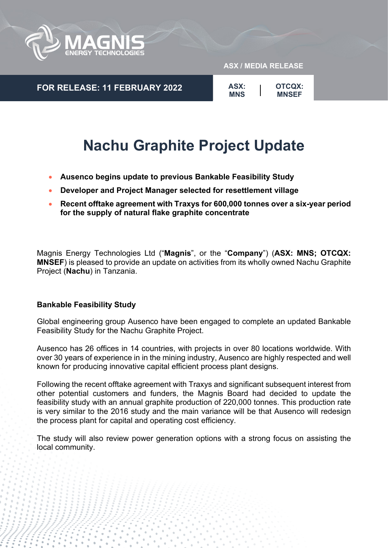

**FOR RELEASE: 11 FEBRUARY 2022**

#### **ASX / MEDIA RELEASE**

**OTCQX: MNSEF ASX: MNS**

# **Nachu Graphite Project Update**

- **Ausenco begins update to previous Bankable Feasibility Study**
- **Developer and Project Manager selected for resettlement village**
- **Recent offtake agreement with Traxys for 600,000 tonnes over a six-year period for the supply of natural flake graphite concentrate**

Magnis Energy Technologies Ltd ("**Magnis**", or the "**Company**") (**ASX: MNS; OTCQX: MNSEF**) is pleased to provide an update on activities from its wholly owned Nachu Graphite Project (**Nachu**) in Tanzania.

# **Bankable Feasibility Study**

Global engineering group Ausenco have been engaged to complete an updated Bankable Feasibility Study for the Nachu Graphite Project.

Ausenco has 26 offices in 14 countries, with projects in over 80 locations worldwide. With over 30 years of experience in in the mining industry, Ausenco are highly respected and well known for producing innovative capital efficient process plant designs.

Following the recent offtake agreement with Traxys and significant subsequent interest from other potential customers and funders, the Magnis Board had decided to update the feasibility study with an annual graphite production of 220,000 tonnes. This production rate is very similar to the 2016 study and the main variance will be that Ausenco will redesign the process plant for capital and operating cost efficiency.

The study will also review power generation options with a strong focus on assisting the local community.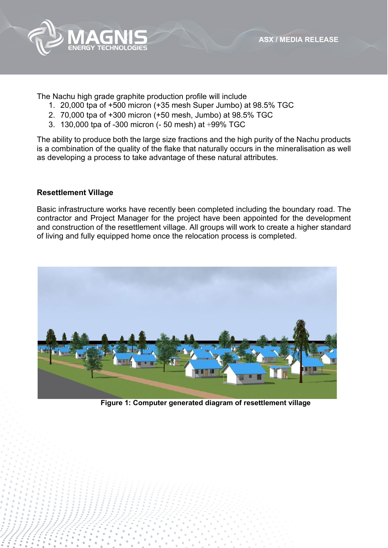



The Nachu high grade graphite production profile will include

- 1. 20,000 tpa of +500 micron (+35 mesh Super Jumbo) at 98.5% TGC
- 2. 70,000 tpa of +300 micron (+50 mesh, Jumbo) at 98.5% TGC
- 3. 130,000 tpa of -300 micron (- 50 mesh) at +99% TGC

The ability to produce both the large size fractions and the high purity of the Nachu products is a combination of the quality of the flake that naturally occurs in the mineralisation as well as developing a process to take advantage of these natural attributes.

## **Resettlement Village**

Basic infrastructure works have recently been completed including the boundary road. The contractor and Project Manager for the project have been appointed for the development and construction of the resettlement village. All groups will work to create a higher standard of living and fully equipped home once the relocation process is completed.



 **Figure 1: Computer generated diagram of resettlement village**